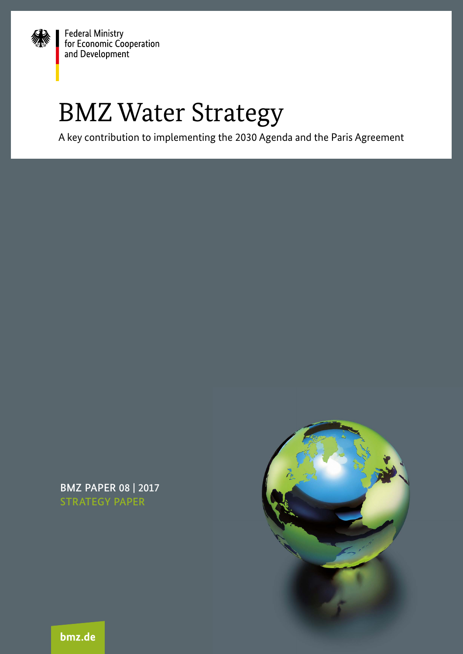

Federal Ministry<br>for Economic Cooperation and Development

# BMZ Water Strategy

A key contribution to implementing the 2030 Agenda and the Paris Agreement

BMZ PAPIER 06 | 2017 PAPER 08 | 2017 STRATEGY PAPER



bmz.de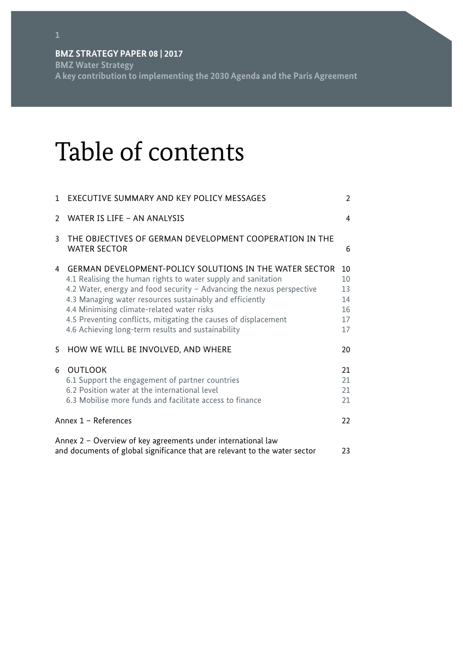**BMZ Water Strategy A key contribution to implementing the 2030 Agenda and the Paris Agreement** 

# Table of contents

| 1                                                                                                                                          | EXECUTIVE SUMMARY AND KEY POLICY MESSAGES                                                                                                                                                                                                                                                                                                                                                                                                   | $\overline{2}$                         |
|--------------------------------------------------------------------------------------------------------------------------------------------|---------------------------------------------------------------------------------------------------------------------------------------------------------------------------------------------------------------------------------------------------------------------------------------------------------------------------------------------------------------------------------------------------------------------------------------------|----------------------------------------|
| $\mathcal{P}$                                                                                                                              | WATER IS LIFE - AN ANALYSIS                                                                                                                                                                                                                                                                                                                                                                                                                 | 4                                      |
| 3                                                                                                                                          | THE OBJECTIVES OF GERMAN DEVELOPMENT COOPERATION IN THE<br><b>WATER SECTOR</b>                                                                                                                                                                                                                                                                                                                                                              | 6                                      |
| 4                                                                                                                                          | <b>GERMAN DEVELOPMENT-POLICY SOLUTIONS IN THE WATER SECTOR</b><br>4.1 Realising the human rights to water supply and sanitation<br>4.2 Water, energy and food security - Advancing the nexus perspective<br>4.3 Managing water resources sustainably and efficiently<br>4.4 Minimising climate-related water risks<br>4.5 Preventing conflicts, mitigating the causes of displacement<br>4.6 Achieving long-term results and sustainability | 10<br>10<br>13<br>14<br>16<br>17<br>17 |
| 5                                                                                                                                          | HOW WE WILL BE INVOLVED, AND WHERE                                                                                                                                                                                                                                                                                                                                                                                                          | 20                                     |
| 6                                                                                                                                          | <b>OUTLOOK</b><br>6.1 Support the engagement of partner countries<br>6.2 Position water at the international level<br>6.3 Mobilise more funds and facilitate access to finance                                                                                                                                                                                                                                                              | 21<br>21<br>21<br>21                   |
| Annex 1 - References                                                                                                                       |                                                                                                                                                                                                                                                                                                                                                                                                                                             | 22                                     |
| Annex 2 - Overview of key agreements under international law<br>and documents of global significance that are relevant to the water sector |                                                                                                                                                                                                                                                                                                                                                                                                                                             | 23                                     |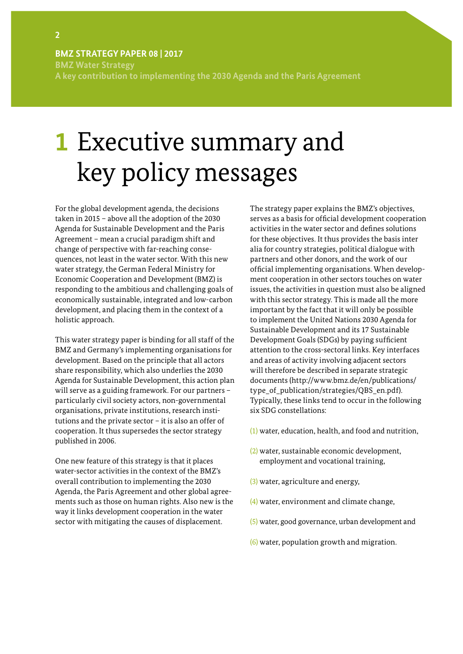<span id="page-3-0"></span>**BMZ Water Strategy A key contribution to implementing the 2030 Agenda and the Paris Agreement**

# **1** Executive summary and key policy messages

For the global development agenda, the decisions taken in 2015 – above all the adoption of the 2030 Agenda for Sustainable Development and the Paris Agreement – mean a crucial paradigm shift and change of perspective with far-reaching consequences, not least in the water sector. With this new water strategy, the German Federal Ministry for Economic Cooperation and Development (BMZ) is responding to the ambitious and challenging goals of economically sustainable, integrated and low-carbon development, and placing them in the context of a holistic approach.

This water strategy paper is binding for all staff of the BMZ and Germany's implementing organisations for development. Based on the principle that all actors share responsibility, which also underlies the 2030 Agenda for Sustainable Development, this action plan will serve as a guiding framework. For our partners – particularly civil society actors, non-governmental organisations, private institutions, research institutions and the private sector – it is also an offer of cooperation. It thus supersedes the sector strategy published in 2006.

One new feature of this strategy is that it places water-sector activities in the context of the BMZ's overall contribution to implementing the 2030 Agenda, the Paris Agreement and other global agreements such as those on human rights. Also new is the way it links development cooperation in the water sector with mitigating the causes of displacement.

The strategy paper explains the BMZ's objectives, serves as a basis for official development cooperation activities in the water sector and defines solutions for these objectives. It thus provides the basis inter alia for country strategies, political dialogue with partners and other donors, and the work of our official implementing organisations. When development cooperation in other sectors touches on water issues, the activities in question must also be aligned with this sector strategy. This is made all the more important by the fact that it will only be possible to implement the United Nations 2030 Agenda for Sustainable Development and its 17 Sustainable Development Goals (SDGs) by paying sufficient attention to the cross-sectoral links. Key interfaces and areas of activity involving adjacent sectors will therefore be described in separate strategic documents (http://www.bmz.de/en/publications/ type\_of\_publication/strategies/QBS\_en.pdf). Typically, these links tend to occur in the following six SDG constellations:

- (1) water, education, health, and food and nutrition,
- (2) water, sustainable economic development, employment and vocational training,
- (3) water, agriculture and energy,
- (4) water, environment and climate change,
- (5) water, good governance, urban development and
- (6) water, population growth and migration.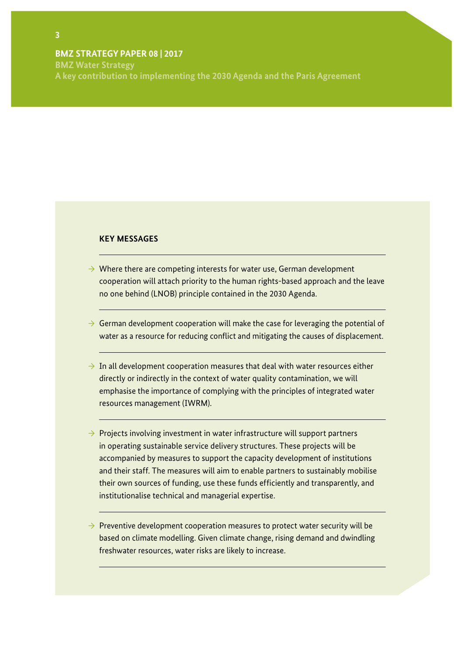**BMZ Water Strategy A key contribution to implementing the 2030 Agenda and the Paris Agreement** 

### **KEY MESSAGES**

- $\rightarrow$  Where there are competing interests for water use, German development cooperation will attach priority to the human rights-based approach and the leave no one behind (LNOB) principle contained in the 2030 Agenda.
- $\rightarrow$  German development cooperation will make the case for leveraging the potential of water as a resource for reducing conflict and mitigating the causes of displacement.
- $\rightarrow$  In all development cooperation measures that deal with water resources either directly or indirectly in the context of water quality contamination, we will emphasise the importance of complying with the principles of integrated water resources management (IWRM).
- $\rightarrow$  Projects involving investment in water infrastructure will support partners in operating sustainable service delivery structures. These projects will be accompanied by measures to support the capacity development of institutions and their staff. The measures will aim to enable partners to sustainably mobilise their own sources of funding, use these funds efficiently and transparently, and institutionalise technical and managerial expertise.
- $\rightarrow$  Preventive development cooperation measures to protect water security will be based on climate modelling. Given climate change, rising demand and dwindling freshwater resources, water risks are likely to increase.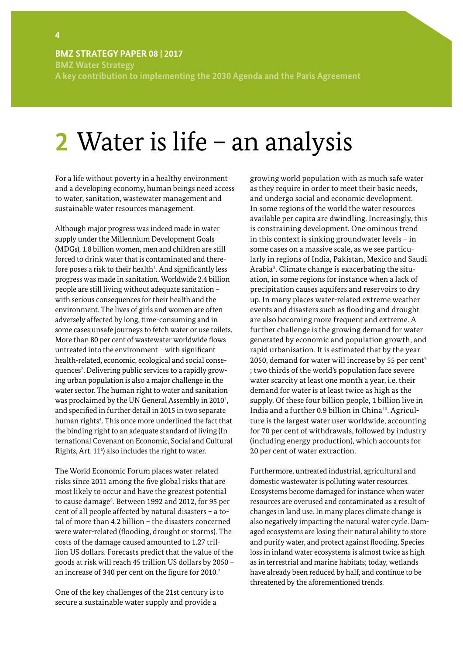<span id="page-5-0"></span>**BMZ STRATEGY PAPER 08 | 2017 BMZ Water Strategy A key contribution to implementing the 2030 Agenda and the Paris Agreement**

# **2** Water is life – an analysis

For a life without poverty in a healthy environment and a developing economy, human beings need access to water, sanitation, wastewater management and sustainable water resources management.

Although major progress was indeed made in water supply under the Millennium Development Goals (MDGs), 1.8 billion women, men and children are still forced to drink water that is contaminated and therefore poses a risk to their health<sup>1</sup>. And significantly less progress was made in sanitation. Worldwide 2.4 billion people are still living without adequate sanitation – with serious consequences for their health and the environment. The lives of girls and women are often adversely affected by long, time-consuming and in some cases unsafe journeys to fetch water or use toilets. More than 80 per cent of wastewater worldwide flows untreated into the environment – with significant health-related, economic, ecological and social consequences<sup>2</sup>. Delivering public services to a rapidly growing urban population is also a major challenge in the water sector. The human right to water and sanitation was proclaimed by the UN General Assembly in 2010<sup>3</sup>, and specified in further detail in 2015 in two separate human rights<sup>4</sup>. This once more underlined the fact that the binding right to an adequate standard of living (International Covenant on Economic, Social and Cultural Rights, Art. 11<sup>5</sup> ) also includes the right to water.

The World Economic Forum places water-related risks since 2011 among the five global risks that are most likely to occur and have the greatest potential to cause damage<sup>6</sup>. Between 1992 and 2012, for 95 per cent of all people affected by natural disasters – a total of more than 4.2 billion – the disasters concerned were water-related (flooding, drought or storms). The costs of the damage caused amounted to 1.27 trillion US dollars. Forecasts predict that the value of the goods at risk will reach 45 trillion US dollars by 2050 – an increase of 340 per cent on the figure for 2010.<sup>7</sup>

One of the key challenges of the 21st century is to secure a sustainable water supply and provide a

growing world population with as much safe water as they require in order to meet their basic needs, and undergo social and economic development. In some regions of the world the water resources available per capita are dwindling. Increasingly, this is constraining development. One ominous trend in this context is sinking groundwater levels – in some cases on a massive scale, as we see particularly in regions of India, Pakistan, Mexico and Saudi Arabia<sup>8</sup>. Climate change is exacerbating the situation, in some regions for instance when a lack of precipitation causes aquifers and reservoirs to dry up. In many places water-related extreme weather events and disasters such as flooding and drought are also becoming more frequent and extreme. A further challenge is the growing demand for water generated by economic and population growth, and rapid urbanisation. It is estimated that by the year 2050, demand for water will increase by 55 per cent<sup>9</sup> ; two thirds of the world's population face severe water scarcity at least one month a year, i.e. their demand for water is at least twice as high as the supply. Of these four billion people, 1 billion live in India and a further 0.9 billion in China<sup>10</sup>. Agriculture is the largest water user worldwide, accounting for 70 per cent of withdrawals, followed by industry (including energy production), which accounts for 20 per cent of water extraction.

Furthermore, untreated industrial, agricultural and domestic wastewater is polluting water resources. Ecosystems become damaged for instance when water resources are overused and contaminated as a result of changes in land use. In many places climate change is also negatively impacting the natural water cycle. Damaged ecosystems are losing their natural ability to store and purify water, and protect against flooding. Species loss in inland water ecosystems is almost twice as high as in terrestrial and marine habitats; today, wetlands have already been reduced by half, and continue to be threatened by the aforementioned trends.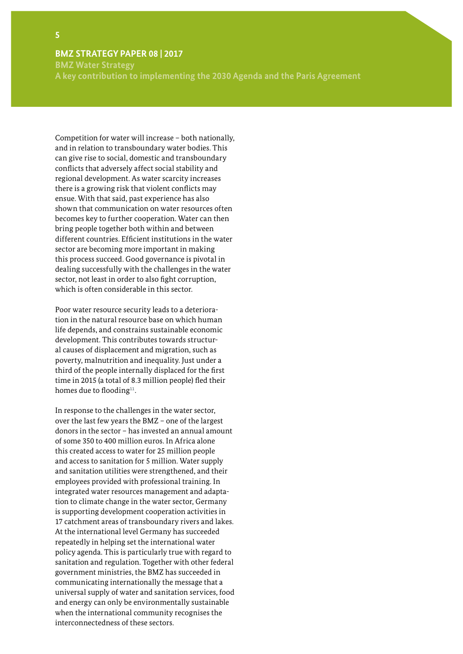**BMZ Water Strategy A key contribution to implementing the 2030 Agenda and the Paris Agreement** 

Competition for water will increase – both nationally, and in relation to transboundary water bodies. This can give rise to social, domestic and transboundary conflicts that adversely affect social stability and regional development. As water scarcity increases there is a growing risk that violent conflicts may ensue. With that said, past experience has also shown that communication on water resources often becomes key to further cooperation. Water can then bring people together both within and between different countries. Efficient institutions in the water sector are becoming more important in making this process succeed. Good governance is pivotal in dealing successfully with the challenges in the water sector, not least in order to also fight corruption, which is often considerable in this sector.

Poor water resource security leads to a deterioration in the natural resource base on which human life depends, and constrains sustainable economic development. This contributes towards structural causes of displacement and migration, such as poverty, malnutrition and inequality. Just under a third of the people internally displaced for the first time in 2015 (a total of 8.3 million people) fled their homes due to flooding<sup>11</sup>.

In response to the challenges in the water sector, over the last few years the BMZ – one of the largest donors in the sector – has invested an annual amount of some 350 to 400 million euros. In Africa alone this created access to water for 25 million people and access to sanitation for 5 million. Water supply and sanitation utilities were strengthened, and their employees provided with professional training. In integrated water resources management and adaptation to climate change in the water sector, Germany is supporting development cooperation activities in 17 catchment areas of transboundary rivers and lakes. At the international level Germany has succeeded repeatedly in helping set the international water policy agenda. This is particularly true with regard to sanitation and regulation. Together with other federal government ministries, the BMZ has succeeded in communicating internationally the message that a universal supply of water and sanitation services, food and energy can only be environmentally sustainable when the international community recognises the interconnectedness of these sectors.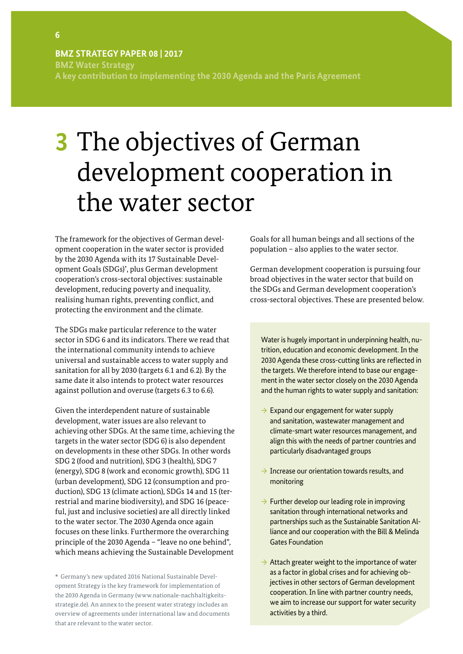<span id="page-7-0"></span>**BMZ Water Strategy A key contribution to implementing the 2030 Agenda and the Paris Agreement**

# **3** The objectives of German development cooperation in the water sector

The framework for the objectives of German development cooperation in the water sector is provided by the 2030 Agenda with its 17 Sustainable Development Goals (SDGs)\* , plus German development cooperation's cross-sectoral objectives: sustainable development, reducing poverty and inequality, realising human rights, preventing conflict, and protecting the environment and the climate.

The SDGs make particular reference to the water sector in SDG 6 and its indicators. There we read that the international community intends to achieve universal and sustainable access to water supply and sanitation for all by 2030 (targets 6.1 and 6.2). By the same date it also intends to protect water resources against pollution and overuse (targets 6.3 to 6.6).

Given the interdependent nature of sustainable development, water issues are also relevant to achieving other SDGs. At the same time, achieving the targets in the water sector (SDG 6) is also dependent on developments in these other SDGs. In other words SDG 2 (food and nutrition), SDG 3 (health), SDG 7 (energy), SDG 8 (work and economic growth), SDG 11 (urban development), SDG 12 (consumption and production), SDG 13 (climate action), SDGs 14 and 15 (terrestrial and marine biodiversity), and SDG 16 (peaceful, just and inclusive societies) are all directly linked to the water sector. The 2030 Agenda once again focuses on these links. Furthermore the overarching principle of the 2030 Agenda – "leave no one behind", which means achieving the Sustainable Development

\* Germany's new updated 2016 National Sustainable Development Strategy is the key framework for implementation of the 2030 Agenda in Germany (www.nationale-nachhaltigkeitsstrategie.de). An annex to the present water strategy includes an overview of agreements under international law and documents that are relevant to the water sector.

Goals for all human beings and all sections of the population – also applies to the water sector.

German development cooperation is pursuing four broad objectives in the water sector that build on the SDGs and German development cooperation's cross-sectoral objectives. These are presented below.

Water is hugely important in underpinning health, nutrition, education and economic development. In the 2030 Agenda these cross-cutting links are reflected in the targets. We therefore intend to base our engagement in the water sector closely on the 2030 Agenda and the human rights to water supply and sanitation:

- $\rightarrow$  Expand our engagement for water supply and sanitation, wastewater management and climate-smart water resources management, and align this with the needs of partner countries and particularly disadvantaged groups
- $\rightarrow$  Increase our orientation towards results, and monitoring
- $\rightarrow$  Further develop our leading role in improving sanitation through international networks and partnerships such as the Sustainable Sanitation Alliance and our cooperation with the Bill & Melinda Gates Foundation
- $\rightarrow$  Attach greater weight to the importance of water as a factor in global crises and for achieving objectives in other sectors of German development cooperation. In line with partner country needs, we aim to increase our support for water security activities by a third.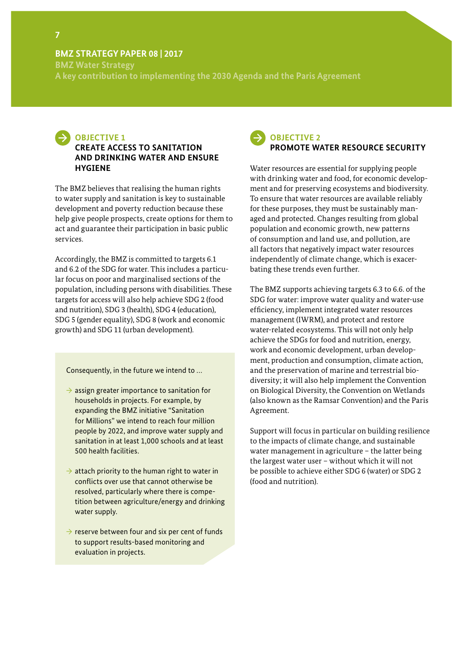**BMZ Water Strategy A key contribution to implementing the 2030 Agenda and the Paris Agreement** 



## **CREATE ACCESS TO SANITATION AND DRINKING WATER AND ENSURE HYGIENE**

The BMZ believes that realising the human rights to water supply and sanitation is key to sustainable development and poverty reduction because these help give people prospects, create options for them to act and guarantee their participation in basic public services.

Accordingly, the BMZ is committed to targets 6.1 and 6.2 of the SDG for water. This includes a particular focus on poor and marginalised sections of the population, including persons with disabilities. These targets for access will also help achieve SDG 2 (food and nutrition), SDG 3 (health), SDG 4 (education), SDG 5 (gender equality), SDG 8 (work and economic growth) and SDG 11 (urban development).

Consequently, in the future we intend to …

- $\rightarrow$  assign greater importance to sanitation for households in projects. For example, by expanding the BMZ initiative "Sanitation for Millions" we intend to reach four million people by 2022, and improve water supply and sanitation in at least 1,000 schools and at least 500 health facilities.
- $\rightarrow$  attach priority to the human right to water in conflicts over use that cannot otherwise be resolved, particularly where there is competition between agriculture/energy and drinking water supply.
- $\rightarrow$  reserve between four and six per cent of funds to support results-based monitoring and evaluation in projects.

# **OBJECTIVE 2 PROMOTE WATER RESOURCE SECURITY**

Water resources are essential for supplying people with drinking water and food, for economic development and for preserving ecosystems and biodiversity. To ensure that water resources are available reliably for these purposes, they must be sustainably managed and protected. Changes resulting from global population and economic growth, new patterns of consumption and land use, and pollution, are all factors that negatively impact water resources independently of climate change, which is exacerbating these trends even further.

The BMZ supports achieving targets 6.3 to 6.6. of the SDG for water: improve water quality and water-use efficiency, implement integrated water resources management (IWRM), and protect and restore water-related ecosystems. This will not only help achieve the SDGs for food and nutrition, energy, work and economic development, urban development, production and consumption, climate action, and the preservation of marine and terrestrial biodiversity; it will also help implement the Convention on Biological Diversity, the Convention on Wetlands (also known as the Ramsar Convention) and the Paris Agreement.

Support will focus in particular on building resilience to the impacts of climate change, and sustainable water management in agriculture – the latter being the largest water user – without which it will not be possible to achieve either SDG 6 (water) or SDG 2 (food and nutrition).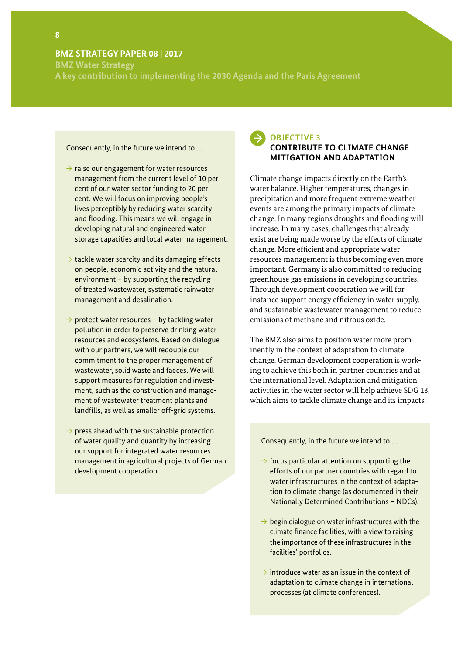**BMZ Water Strategy**

**A key contribution to implementing the 2030 Agenda and the Paris Agreement**

#### Consequently, in the future we intend to …

- $\rightarrow$  raise our engagement for water resources management from the current level of 10 per cent of our water sector funding to 20 per cent. We will focus on improving people's lives perceptibly by reducing water scarcity and flooding. This means we will engage in developing natural and engineered water storage capacities and local water management.
- $\rightarrow$  tackle water scarcity and its damaging effects on people, economic activity and the natural environment – by supporting the recycling of treated wastewater, systematic rainwater management and desalination.
- $\rightarrow$  protect water resources by tackling water pollution in order to preserve drinking water resources and ecosystems. Based on dialogue with our partners, we will redouble our commitment to the proper management of wastewater, solid waste and faeces. We will support measures for regulation and investment, such as the construction and management of wastewater treatment plants and landfills, as well as smaller off-grid systems.
- $\rightarrow$  press ahead with the sustainable protection of water quality and quantity by increasing our support for integrated water resources management in agricultural projects of German development cooperation.

### **OBJECTIVE 3 CONTRIBUTE TO CLIMATE CHANGE MITIGATION AND ADAPTATION**

Climate change impacts directly on the Earth's water balance. Higher temperatures, changes in precipitation and more frequent extreme weather events are among the primary impacts of climate change. In many regions droughts and flooding will increase. In many cases, challenges that already exist are being made worse by the effects of climate change. More efficient and appropriate water resources management is thus becoming even more important. Germany is also committed to reducing greenhouse gas emissions in developing countries. Through development cooperation we will for instance support energy efficiency in water supply, and sustainable wastewater management to reduce emissions of methane and nitrous oxide.

The BMZ also aims to position water more prominently in the context of adaptation to climate change. German development cooperation is working to achieve this both in partner countries and at the international level. Adaptation and mitigation activities in the water sector will help achieve SDG 13, which aims to tackle climate change and its impacts.

#### Consequently, in the future we intend to …

- $\rightarrow$  focus particular attention on supporting the efforts of our partner countries with regard to water infrastructures in the context of adaptation to climate change (as documented in their Nationally Determined Contributions – NDCs).
- $\rightarrow$  begin dialogue on water infrastructures with the climate finance facilities, with a view to raising the importance of these infrastructures in the facilities' portfolios.
- $\rightarrow$  introduce water as an issue in the context of adaptation to climate change in international processes (at climate conferences).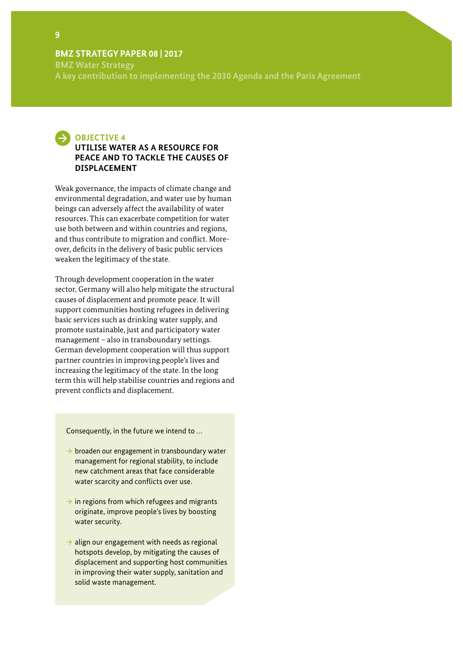**BMZ Water Strategy A key contribution to implementing the 2030 Agenda and the Paris Agreement** 



### **UTILISE WATER AS A RESOURCE FOR PEACE AND TO TACKLE THE CAUSES OF DISPLACEMENT**

Weak governance, the impacts of climate change and environmental degradation, and water use by human beings can adversely affect the availability of water resources. This can exacerbate competition for water use both between and within countries and regions, and thus contribute to migration and conflict. Moreover, deficits in the delivery of basic public services weaken the legitimacy of the state.

Through development cooperation in the water sector, Germany will also help mitigate the structural causes of displacement and promote peace. It will support communities hosting refugees in delivering basic services such as drinking water supply, and promote sustainable, just and participatory water management – also in transboundary settings. German development cooperation will thus support partner countries in improving people's lives and increasing the legitimacy of the state. In the long term this will help stabilise countries and regions and prevent conflicts and displacement.

Consequently, in the future we intend to …

- $\rightarrow$  broaden our engagement in transboundary water management for regional stability, to include new catchment areas that face considerable water scarcity and conflicts over use.
- $\rightarrow$  in regions from which refugees and migrants originate, improve people's lives by boosting water security.
- $\rightarrow$  align our engagement with needs as regional hotspots develop, by mitigating the causes of displacement and supporting host communities in improving their water supply, sanitation and solid waste management.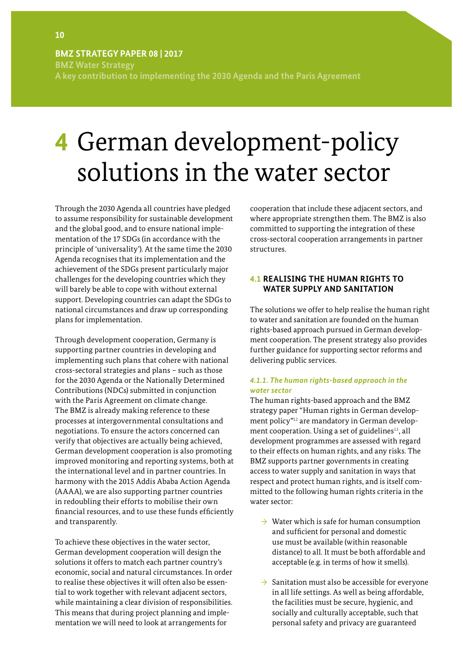<span id="page-11-0"></span>**BMZ Water Strategy A key contribution to implementing the 2030 Agenda and the Paris Agreement**

# **4** German development-policy solutions in the water sector

Through the 2030 Agenda all countries have pledged to assume responsibility for sustainable development and the global good, and to ensure national implementation of the 17 SDGs (in accordance with the principle of 'universality'). At the same time the 2030 Agenda recognises that its implementation and the achievement of the SDGs present particularly major challenges for the developing countries which they will barely be able to cope with without external support. Developing countries can adapt the SDGs to national circumstances and draw up corresponding plans for implementation.

Through development cooperation, Germany is supporting partner countries in developing and implementing such plans that cohere with national cross-sectoral strategies and plans – such as those for the 2030 Agenda or the Nationally Determined Contributions (NDCs) submitted in conjunction with the Paris Agreement on climate change. The BMZ is already making reference to these processes at intergovernmental consultations and negotiations. To ensure the actors concerned can verify that objectives are actually being achieved, German development cooperation is also promoting improved monitoring and reporting systems, both at the international level and in partner countries. In harmony with the 2015 Addis Ababa Action Agenda (AAAA), we are also supporting partner countries in redoubling their efforts to mobilise their own financial resources, and to use these funds efficiently and transparently.

To achieve these objectives in the water sector, German development cooperation will design the solutions it offers to match each partner country's economic, social and natural circumstances. In order to realise these objectives it will often also be essential to work together with relevant adjacent sectors, while maintaining a clear division of responsibilities. This means that during project planning and implementation we will need to look at arrangements for

cooperation that include these adjacent sectors, and where appropriate strengthen them. The BMZ is also committed to supporting the integration of these cross-sectoral cooperation arrangements in partner structures.

### **4.1 REALISING THE HUMAN RIGHTS TO WATER SUPPLY AND SANITATION**

The solutions we offer to help realise the human right to water and sanitation are founded on the human rights-based approach pursued in German development cooperation. The present strategy also provides further guidance for supporting sector reforms and delivering public services.

#### *4.1.1. The human rights-based approach in the water sector*

The human rights-based approach and the BMZ strategy paper "Human rights in German development policy"<sup>12</sup> are mandatory in German development cooperation. Using a set of guidelines<sup>13</sup>, all development programmes are assessed with regard to their effects on human rights, and any risks. The BMZ supports partner governments in creating access to water supply and sanitation in ways that respect and protect human rights, and is itself committed to the following human rights criteria in the water sector:

- $\rightarrow$  Water which is safe for human consumption and sufficient for personal and domestic use must be available (within reasonable distance) to all. It must be both affordable and acceptable (e.g. in terms of how it smells).
- $\rightarrow$  Sanitation must also be accessible for everyone in all life settings. As well as being affordable, the facilities must be secure, hygienic, and socially and culturally acceptable, such that personal safety and privacy are guaranteed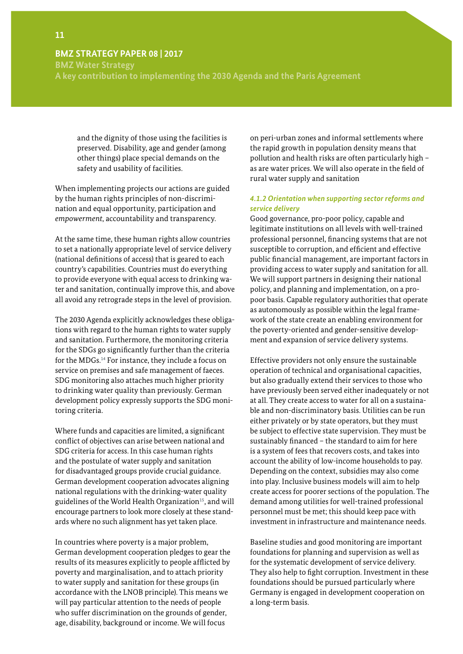**BMZ Water Strategy**

**A key contribution to implementing the 2030 Agenda and the Paris Agreement** 

and the dignity of those using the facilities is preserved. Disability, age and gender (among other things) place special demands on the safety and usability of facilities.

When implementing projects our actions are guided by the human rights principles of non-discrimination and equal opportunity, participation and *empowerment*, accountability and transparency.

At the same time, these human rights allow countries to set a nationally appropriate level of service delivery (national definitions of access) that is geared to each country's capabilities. Countries must do everything to provide everyone with equal access to drinking water and sanitation, continually improve this, and above all avoid any retrograde steps in the level of provision.

The 2030 Agenda explicitly acknowledges these obligations with regard to the human rights to water supply and sanitation. Furthermore, the monitoring criteria for the SDGs go significantly further than the criteria for the MDGs.<sup>14</sup> For instance, they include a focus on service on premises and safe management of faeces. SDG monitoring also attaches much higher priority to drinking water quality than previously. German development policy expressly supports the SDG monitoring criteria.

Where funds and capacities are limited, a significant conflict of objectives can arise between national and SDG criteria for access. In this case human rights and the postulate of water supply and sanitation for disadvantaged groups provide crucial guidance. German development cooperation advocates aligning national regulations with the drinking-water quality guidelines of the World Health Organization<sup>15</sup>, and will encourage partners to look more closely at these standards where no such alignment has yet taken place.

In countries where poverty is a major problem, German development cooperation pledges to gear the results of its measures explicitly to people afflicted by poverty and marginalisation, and to attach priority to water supply and sanitation for these groups (in accordance with the LNOB principle). This means we will pay particular attention to the needs of people who suffer discrimination on the grounds of gender, age, disability, background or income. We will focus

on peri-urban zones and informal settlements where the rapid growth in population density means that pollution and health risks are often particularly high – as are water prices. We will also operate in the field of rural water supply and sanitation

#### *4.1.2 Orientation when supporting sector reforms and service delivery*

Good governance, pro-poor policy, capable and legitimate institutions on all levels with well-trained professional personnel, financing systems that are not susceptible to corruption, and efficient and effective public financial management, are important factors in providing access to water supply and sanitation for all. We will support partners in designing their national policy, and planning and implementation, on a propoor basis. Capable regulatory authorities that operate as autonomously as possible within the legal framework of the state create an enabling environment for the poverty-oriented and gender-sensitive development and expansion of service delivery systems.

Effective providers not only ensure the sustainable operation of technical and organisational capacities, but also gradually extend their services to those who have previously been served either inadequately or not at all. They create access to water for all on a sustainable and non-discriminatory basis. Utilities can be run either privately or by state operators, but they must be subject to effective state supervision. They must be sustainably financed – the standard to aim for here is a system of fees that recovers costs, and takes into account the ability of low-income households to pay. Depending on the context, subsidies may also come into play. Inclusive business models will aim to help create access for poorer sections of the population. The demand among utilities for well-trained professional personnel must be met; this should keep pace with investment in infrastructure and maintenance needs.

Baseline studies and good monitoring are important foundations for planning and supervision as well as for the systematic development of service delivery. They also help to fight corruption. Investment in these foundations should be pursued particularly where Germany is engaged in development cooperation on a long-term basis.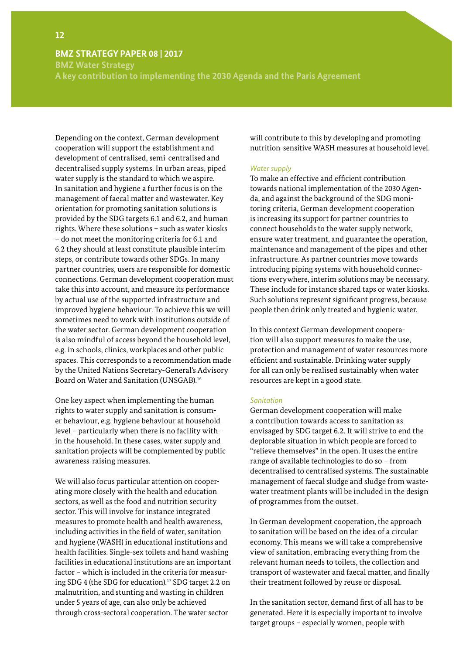**BMZ Water Strategy**

**A key contribution to implementing the 2030 Agenda and the Paris Agreement**

Depending on the context, German development cooperation will support the establishment and development of centralised, semi-centralised and decentralised supply systems. In urban areas, piped water supply is the standard to which we aspire. In sanitation and hygiene a further focus is on the management of faecal matter and wastewater. Key orientation for promoting sanitation solutions is provided by the SDG targets 6.1 and 6.2, and human rights. Where these solutions – such as water kiosks – do not meet the monitoring criteria for 6.1 and 6.2 they should at least constitute plausible interim steps, or contribute towards other SDGs. In many partner countries, users are responsible for domestic connections. German development cooperation must take this into account, and measure its performance by actual use of the supported infrastructure and improved hygiene behaviour. To achieve this we will sometimes need to work with institutions outside of the water sector. German development cooperation is also mindful of access beyond the household level, e.g. in schools, clinics, workplaces and other public spaces. This corresponds to a recommendation made by the United Nations Secretary-General's Advisory Board on Water and Sanitation (UNSGAB).<sup>16</sup>

One key aspect when implementing the human rights to water supply and sanitation is consumer behaviour, e.g. hygiene behaviour at household level – particularly when there is no facility within the household. In these cases, water supply and sanitation projects will be complemented by public awareness-raising measures.

We will also focus particular attention on cooperating more closely with the health and education sectors, as well as the food and nutrition security sector. This will involve for instance integrated measures to promote health and health awareness, including activities in the field of water, sanitation and hygiene (WASH) in educational institutions and health facilities. Single-sex toilets and hand washing facilities in educational institutions are an important factor – which is included in the criteria for measuring SDG 4 (the SDG for education).<sup>17</sup> SDG target 2.2 on malnutrition, and stunting and wasting in children under 5 years of age, can also only be achieved through cross-sectoral cooperation. The water sector

will contribute to this by developing and promoting nutrition-sensitive WASH measures at household level.

#### *Water supply*

To make an effective and efficient contribution towards national implementation of the 2030 Agenda, and against the background of the SDG monitoring criteria, German development cooperation is increasing its support for partner countries to connect households to the water supply network, ensure water treatment, and guarantee the operation, maintenance and management of the pipes and other infrastructure. As partner countries move towards introducing piping systems with household connections everywhere, interim solutions may be necessary. These include for instance shared taps or water kiosks. Such solutions represent significant progress, because people then drink only treated and hygienic water.

In this context German development cooperation will also support measures to make the use, protection and management of water resources more efficient and sustainable. Drinking water supply for all can only be realised sustainably when water resources are kept in a good state.

#### *Sanitation*

German development cooperation will make a contribution towards access to sanitation as envisaged by SDG target 6.2. It will strive to end the deplorable situation in which people are forced to "relieve themselves" in the open. It uses the entire range of available technologies to do so – from decentralised to centralised systems. The sustainable management of faecal sludge and sludge from wastewater treatment plants will be included in the design of programmes from the outset.

In German development cooperation, the approach to sanitation will be based on the idea of a circular economy. This means we will take a comprehensive view of sanitation, embracing everything from the relevant human needs to toilets, the collection and transport of wastewater and faecal matter, and finally their treatment followed by reuse or disposal.

In the sanitation sector, demand first of all has to be generated. Here it is especially important to involve target groups – especially women, people with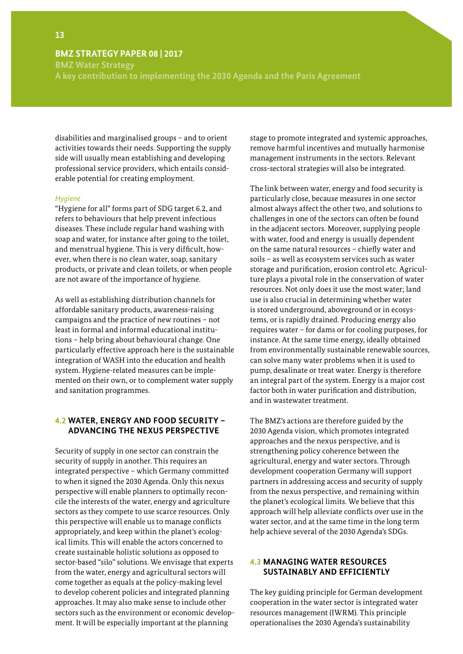<span id="page-14-0"></span>**BMZ Water Strategy**

**A key contribution to implementing the 2030 Agenda and the Paris Agreement** 

disabilities and marginalised groups – and to orient activities towards their needs. Supporting the supply side will usually mean establishing and developing professional service providers, which entails considerable potential for creating employment.

#### *Hygiene*

"Hygiene for all" forms part of SDG target 6.2, and refers to behaviours that help prevent infectious diseases. These include regular hand washing with soap and water, for instance after going to the toilet, and menstrual hygiene. This is very difficult, however, when there is no clean water, soap, sanitary products, or private and clean toilets, or when people are not aware of the importance of hygiene.

As well as establishing distribution channels for affordable sanitary products, awareness-raising campaigns and the practice of new routines – not least in formal and informal educational institutions – help bring about behavioural change. One particularly effective approach here is the sustainable integration of WASH into the education and health system. Hygiene-related measures can be implemented on their own, or to complement water supply and sanitation programmes.

#### **4.2 WATER, ENERGY AND FOOD SECURITY – ADVANCING THE NEXUS PERSPECTIVE**

Security of supply in one sector can constrain the security of supply in another. This requires an integrated perspective – which Germany committed to when it signed the 2030 Agenda. Only this nexus perspective will enable planners to optimally reconcile the interests of the water, energy and agriculture sectors as they compete to use scarce resources. Only this perspective will enable us to manage conflicts appropriately, and keep within the planet's ecological limits. This will enable the actors concerned to create sustainable holistic solutions as opposed to sector-based "silo" solutions. We envisage that experts from the water, energy and agricultural sectors will come together as equals at the policy-making level to develop coherent policies and integrated planning approaches. It may also make sense to include other sectors such as the environment or economic development. It will be especially important at the planning

stage to promote integrated and systemic approaches, remove harmful incentives and mutually harmonise management instruments in the sectors. Relevant cross-sectoral strategies will also be integrated.

The link between water, energy and food security is particularly close, because measures in one sector almost always affect the other two, and solutions to challenges in one of the sectors can often be found in the adjacent sectors. Moreover, supplying people with water, food and energy is usually dependent on the same natural resources – chiefly water and soils – as well as ecosystem services such as water storage and purification, erosion control etc. Agriculture plays a pivotal role in the conservation of water resources. Not only does it use the most water; land use is also crucial in determining whether water is stored underground, aboveground or in ecosystems, or is rapidly drained. Producing energy also requires water – for dams or for cooling purposes, for instance. At the same time energy, ideally obtained from environmentally sustainable renewable sources, can solve many water problems when it is used to pump, desalinate or treat water. Energy is therefore an integral part of the system. Energy is a major cost factor both in water purification and distribution, and in wastewater treatment.

The BMZ's actions are therefore guided by the 2030 Agenda vision, which promotes integrated approaches and the nexus perspective, and is strengthening policy coherence between the agricultural, energy and water sectors. Through development cooperation Germany will support partners in addressing access and security of supply from the nexus perspective, and remaining within the planet's ecological limits. We believe that this approach will help alleviate conflicts over use in the water sector, and at the same time in the long term help achieve several of the 2030 Agenda's SDGs.

#### **4.3 MANAGING WATER RESOURCES SUSTAINABLY AND EFFICIENTLY**

The key guiding principle for German development cooperation in the water sector is integrated water resources management (IWRM). This principle operationalises the 2030 Agenda's sustainability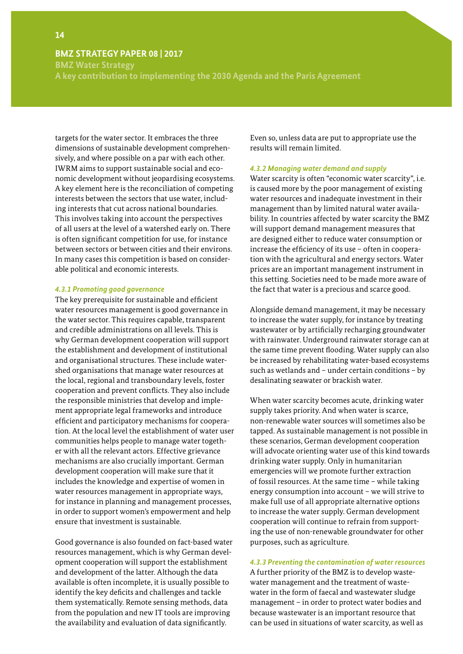<span id="page-15-0"></span>**BMZ Water Strategy**

**A key contribution to implementing the 2030 Agenda and the Paris Agreement**

targets for the water sector. It embraces the three dimensions of sustainable development comprehensively, and where possible on a par with each other. IWRM aims to support sustainable social and economic development without jeopardising ecosystems. A key element here is the reconciliation of competing interests between the sectors that use water, including interests that cut across national boundaries. This involves taking into account the perspectives of all users at the level of a watershed early on. There is often significant competition for use, for instance between sectors or between cities and their environs. In many cases this competition is based on considerable political and economic interests.

#### *4.3.1 Promoting good governance*

The key prerequisite for sustainable and efficient water resources management is good governance in the water sector. This requires capable, transparent and credible administrations on all levels. This is why German development cooperation will support the establishment and development of institutional and organisational structures. These include watershed organisations that manage water resources at the local, regional and transboundary levels, foster cooperation and prevent conflicts. They also include the responsible ministries that develop and implement appropriate legal frameworks and introduce efficient and participatory mechanisms for cooperation. At the local level the establishment of water user communities helps people to manage water together with all the relevant actors. Effective grievance mechanisms are also crucially important. German development cooperation will make sure that it includes the knowledge and expertise of women in water resources management in appropriate ways, for instance in planning and management processes, in order to support women's empowerment and help ensure that investment is sustainable.

Good governance is also founded on fact-based water resources management, which is why German development cooperation will support the establishment and development of the latter. Although the data available is often incomplete, it is usually possible to identify the key deficits and challenges and tackle them systematically. Remote sensing methods, data from the population and new IT tools are improving the availability and evaluation of data significantly.

Even so, unless data are put to appropriate use the results will remain limited.

#### *4.3.2 Managing water demand and supply*

Water scarcity is often "economic water scarcity", i.e. is caused more by the poor management of existing water resources and inadequate investment in their management than by limited natural water availability. In countries affected by water scarcity the BMZ will support demand management measures that are designed either to reduce water consumption or increase the efficiency of its use – often in cooperation with the agricultural and energy sectors. Water prices are an important management instrument in this setting. Societies need to be made more aware of the fact that water is a precious and scarce good.

Alongside demand management, it may be necessary to increase the water supply, for instance by treating wastewater or by artificially recharging groundwater with rainwater. Underground rainwater storage can at the same time prevent flooding. Water supply can also be increased by rehabilitating water-based ecosystems such as wetlands and – under certain conditions – by desalinating seawater or brackish water.

When water scarcity becomes acute, drinking water supply takes priority. And when water is scarce, non-renewable water sources will sometimes also be tapped. As sustainable management is not possible in these scenarios, German development cooperation will advocate orienting water use of this kind towards drinking water supply. Only in humanitarian emergencies will we promote further extraction of fossil resources. At the same time – while taking energy consumption into account – we will strive to make full use of all appropriate alternative options to increase the water supply. German development cooperation will continue to refrain from supporting the use of non-renewable groundwater for other purposes, such as agriculture.

*4.3.3 Preventing the contamination of water resources* A further priority of the BMZ is to develop wastewater management and the treatment of wastewater in the form of faecal and wastewater sludge management – in order to protect water bodies and because wastewater is an important resource that can be used in situations of water scarcity, as well as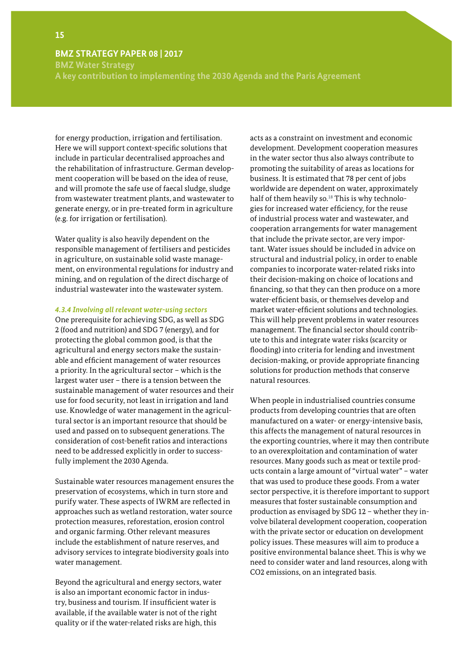**BMZ Water Strategy**

**A key contribution to implementing the 2030 Agenda and the Paris Agreement** 

for energy production, irrigation and fertilisation. Here we will support context-specific solutions that include in particular decentralised approaches and the rehabilitation of infrastructure. German development cooperation will be based on the idea of reuse, and will promote the safe use of faecal sludge, sludge from wastewater treatment plants, and wastewater to generate energy, or in pre-treated form in agriculture (e.g. for irrigation or fertilisation).

Water quality is also heavily dependent on the responsible management of fertilisers and pesticides in agriculture, on sustainable solid waste management, on environmental regulations for industry and mining, and on regulation of the direct discharge of industrial wastewater into the wastewater system.

#### *4.3.4 Involving all relevant water-using sectors*

One prerequisite for achieving SDG, as well as SDG 2 (food and nutrition) and SDG 7 (energy), and for protecting the global common good, is that the agricultural and energy sectors make the sustainable and efficient management of water resources a priority. In the agricultural sector – which is the largest water user – there is a tension between the sustainable management of water resources and their use for food security, not least in irrigation and land use. Knowledge of water management in the agricultural sector is an important resource that should be used and passed on to subsequent generations. The consideration of cost-benefit ratios and interactions need to be addressed explicitly in order to successfully implement the 2030 Agenda.

Sustainable water resources management ensures the preservation of ecosystems, which in turn store and purify water. These aspects of IWRM are reflected in approaches such as wetland restoration, water source protection measures, reforestation, erosion control and organic farming. Other relevant measures include the establishment of nature reserves, and advisory services to integrate biodiversity goals into water management.

Beyond the agricultural and energy sectors, water is also an important economic factor in industry, business and tourism. If insufficient water is available, if the available water is not of the right quality or if the water-related risks are high, this

acts as a constraint on investment and economic development. Development cooperation measures in the water sector thus also always contribute to promoting the suitability of areas as locations for business. It is estimated that 78 per cent of jobs worldwide are dependent on water, approximately half of them heavily so.<sup>18</sup> This is why technologies for increased water efficiency, for the reuse of industrial process water and wastewater, and cooperation arrangements for water management that include the private sector, are very important. Water issues should be included in advice on structural and industrial policy, in order to enable companies to incorporate water-related risks into their decision-making on choice of locations and financing, so that they can then produce on a more water-efficient basis, or themselves develop and market water-efficient solutions and technologies. This will help prevent problems in water resources management. The financial sector should contribute to this and integrate water risks (scarcity or flooding) into criteria for lending and investment decision-making, or provide appropriate financing solutions for production methods that conserve natural resources.

When people in industrialised countries consume products from developing countries that are often manufactured on a water- or energy-intensive basis, this affects the management of natural resources in the exporting countries, where it may then contribute to an overexploitation and contamination of water resources. Many goods such as meat or textile products contain a large amount of "virtual water" – water that was used to produce these goods. From a water sector perspective, it is therefore important to support measures that foster sustainable consumption and production as envisaged by SDG 12 – whether they involve bilateral development cooperation, cooperation with the private sector or education on development policy issues. These measures will aim to produce a positive environmental balance sheet. This is why we need to consider water and land resources, along with CO2 emissions, on an integrated basis.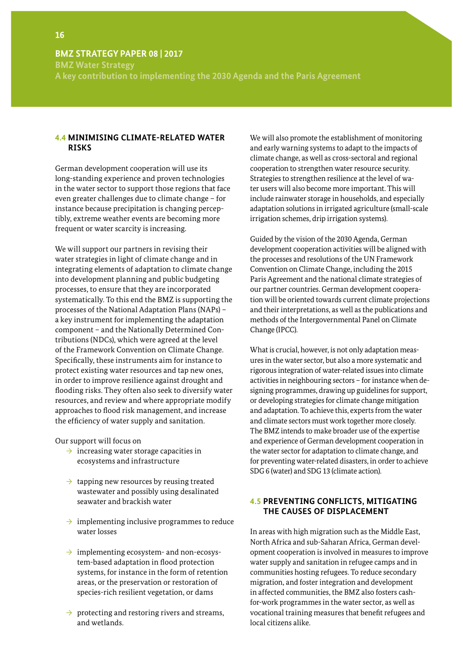<span id="page-17-0"></span>**BMZ Water Strategy A key contribution to implementing the 2030 Agenda and the Paris Agreement**

#### **4.4 MINIMISING CLIMATE-RELATED WATER RISKS**

German development cooperation will use its long-standing experience and proven technologies in the water sector to support those regions that face even greater challenges due to climate change – for instance because precipitation is changing perceptibly, extreme weather events are becoming more frequent or water scarcity is increasing.

We will support our partners in revising their water strategies in light of climate change and in integrating elements of adaptation to climate change into development planning and public budgeting processes, to ensure that they are incorporated systematically. To this end the BMZ is supporting the processes of the National Adaptation Plans (NAPs) – a key instrument for implementing the adaptation component – and the Nationally Determined Contributions (NDCs), which were agreed at the level of the Framework Convention on Climate Change. Specifically, these instruments aim for instance to protect existing water resources and tap new ones, in order to improve resilience against drought and flooding risks. They often also seek to diversify water resources, and review and where appropriate modify approaches to flood risk management, and increase the efficiency of water supply and sanitation.

Our support will focus on

- $\rightarrow$  increasing water storage capacities in ecosystems and infrastructure
- $\rightarrow$  tapping new resources by reusing treated wastewater and possibly using desalinated seawater and brackish water
- $\rightarrow$  implementing inclusive programmes to reduce water losses
- $\rightarrow$  implementing ecosystem- and non-ecosystem-based adaptation in flood protection systems, for instance in the form of retention areas, or the preservation or restoration of species-rich resilient vegetation, or dams
- $\rightarrow$  protecting and restoring rivers and streams, and wetlands.

We will also promote the establishment of monitoring and early warning systems to adapt to the impacts of climate change, as well as cross-sectoral and regional cooperation to strengthen water resource security. Strategies to strengthen resilience at the level of water users will also become more important. This will include rainwater storage in households, and especially adaptation solutions in irrigated agriculture (small-scale irrigation schemes, drip irrigation systems).

Guided by the vision of the 2030 Agenda, German development cooperation activities will be aligned with the processes and resolutions of the UN Framework Convention on Climate Change, including the 2015 Paris Agreement and the national climate strategies of our partner countries. German development cooperation will be oriented towards current climate projections and their interpretations, as well as the publications and methods of the Intergovernmental Panel on Climate Change (IPCC).

What is crucial, however, is not only adaptation measures in the water sector, but also a more systematic and rigorous integration of water-related issues into climate activities in neighbouring sectors – for instance when designing programmes, drawing up guidelines for support, or developing strategies for climate change mitigation and adaptation. To achieve this, experts from the water and climate sectors must work together more closely. The BMZ intends to make broader use of the expertise and experience of German development cooperation in the water sector for adaptation to climate change, and for preventing water-related disasters, in order to achieve SDG 6 (water) and SDG 13 (climate action).

### **4.5 PREVENTING CONFLICTS, MITIGATING THE CAUSES OF DISPLACEMENT**

In areas with high migration such as the Middle East, North Africa and sub-Saharan Africa, German development cooperation is involved in measures to improve water supply and sanitation in refugee camps and in communities hosting refugees. To reduce secondary migration, and foster integration and development in affected communities, the BMZ also fosters cashfor-work programmes in the water sector, as well as vocational training measures that benefit refugees and local citizens alike.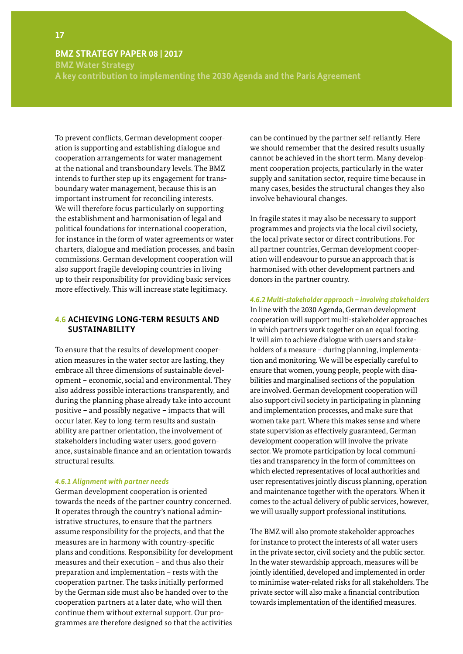<span id="page-18-0"></span>**BMZ Water Strategy**

**A key contribution to implementing the 2030 Agenda and the Paris Agreement** 

To prevent conflicts, German development cooperation is supporting and establishing dialogue and cooperation arrangements for water management at the national and transboundary levels. The BMZ intends to further step up its engagement for transboundary water management, because this is an important instrument for reconciling interests. We will therefore focus particularly on supporting the establishment and harmonisation of legal and political foundations for international cooperation, for instance in the form of water agreements or water charters, dialogue and mediation processes, and basin commissions. German development cooperation will also support fragile developing countries in living up to their responsibility for providing basic services more effectively. This will increase state legitimacy.

#### **4.6 ACHIEVING LONG-TERM RESULTS AND SUSTAINABILITY**

To ensure that the results of development cooperation measures in the water sector are lasting, they embrace all three dimensions of sustainable development – economic, social and environmental. They also address possible interactions transparently, and during the planning phase already take into account positive – and possibly negative – impacts that will occur later. Key to long-term results and sustainability are partner orientation, the involvement of stakeholders including water users, good governance, sustainable finance and an orientation towards structural results.

#### *4.6.1 Alignment with partner needs*

German development cooperation is oriented towards the needs of the partner country concerned. It operates through the country's national administrative structures, to ensure that the partners assume responsibility for the projects, and that the measures are in harmony with country-specific plans and conditions. Responsibility for development measures and their execution – and thus also their preparation and implementation – rests with the cooperation partner. The tasks initially performed by the German side must also be handed over to the cooperation partners at a later date, who will then continue them without external support. Our programmes are therefore designed so that the activities

can be continued by the partner self-reliantly. Here we should remember that the desired results usually cannot be achieved in the short term. Many development cooperation projects, particularly in the water supply and sanitation sector, require time because in many cases, besides the structural changes they also involve behavioural changes.

In fragile states it may also be necessary to support programmes and projects via the local civil society, the local private sector or direct contributions. For all partner countries, German development cooperation will endeavour to pursue an approach that is harmonised with other development partners and donors in the partner country.

#### *4.6.2 Multi-stakeholder approach – involving stakeholders*

In line with the 2030 Agenda, German development cooperation will support multi-stakeholder approaches in which partners work together on an equal footing. It will aim to achieve dialogue with users and stakeholders of a measure – during planning, implementation and monitoring. We will be especially careful to ensure that women, young people, people with disabilities and marginalised sections of the population are involved. German development cooperation will also support civil society in participating in planning and implementation processes, and make sure that women take part. Where this makes sense and where state supervision as effectively guaranteed, German development cooperation will involve the private sector. We promote participation by local communities and transparency in the form of committees on which elected representatives of local authorities and user representatives jointly discuss planning, operation and maintenance together with the operators. When it comes to the actual delivery of public services, however, we will usually support professional institutions.

The BMZ will also promote stakeholder approaches for instance to protect the interests of all water users in the private sector, civil society and the public sector. In the water stewardship approach, measures will be jointly identified, developed and implemented in order to minimise water-related risks for all stakeholders. The private sector will also make a financial contribution towards implementation of the identified measures.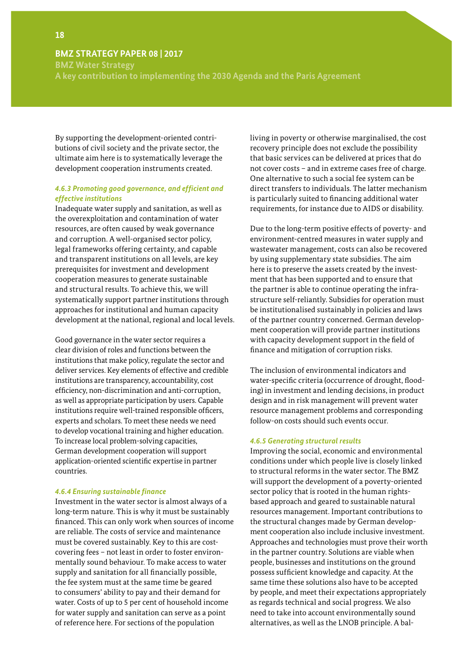**BMZ Water Strategy**

**A key contribution to implementing the 2030 Agenda and the Paris Agreement**

By supporting the development-oriented contributions of civil society and the private sector, the ultimate aim here is to systematically leverage the development cooperation instruments created.

#### *4.6.3 Promoting good governance, and efficient and effective institutions*

Inadequate water supply and sanitation, as well as the overexploitation and contamination of water resources, are often caused by weak governance and corruption. A well-organised sector policy, legal frameworks offering certainty, and capable and transparent institutions on all levels, are key prerequisites for investment and development cooperation measures to generate sustainable and structural results. To achieve this, we will systematically support partner institutions through approaches for institutional and human capacity development at the national, regional and local levels.

Good governance in the water sector requires a clear division of roles and functions between the institutions that make policy, regulate the sector and deliver services. Key elements of effective and credible institutions are transparency, accountability, cost efficiency, non-discrimination and anti-corruption, as well as appropriate participation by users. Capable institutions require well-trained responsible officers, experts and scholars. To meet these needs we need to develop vocational training and higher education. To increase local problem-solving capacities, German development cooperation will support application-oriented scientific expertise in partner countries.

#### *4.6.4 Ensuring sustainable finance*

Investment in the water sector is almost always of a long-term nature. This is why it must be sustainably financed. This can only work when sources of income are reliable. The costs of service and maintenance must be covered sustainably. Key to this are costcovering fees – not least in order to foster environmentally sound behaviour. To make access to water supply and sanitation for all financially possible, the fee system must at the same time be geared to consumers' ability to pay and their demand for water. Costs of up to 5 per cent of household income for water supply and sanitation can serve as a point of reference here. For sections of the population

living in poverty or otherwise marginalised, the cost recovery principle does not exclude the possibility that basic services can be delivered at prices that do not cover costs – and in extreme cases free of charge. One alternative to such a social fee system can be direct transfers to individuals. The latter mechanism is particularly suited to financing additional water requirements, for instance due to AIDS or disability.

Due to the long-term positive effects of poverty- and environment-centred measures in water supply and wastewater management, costs can also be recovered by using supplementary state subsidies. The aim here is to preserve the assets created by the investment that has been supported and to ensure that the partner is able to continue operating the infrastructure self-reliantly. Subsidies for operation must be institutionalised sustainably in policies and laws of the partner country concerned. German development cooperation will provide partner institutions with capacity development support in the field of finance and mitigation of corruption risks.

The inclusion of environmental indicators and water-specific criteria (occurrence of drought, flooding) in investment and lending decisions, in product design and in risk management will prevent water resource management problems and corresponding follow-on costs should such events occur.

#### *4.6.5 Generating structural results*

Improving the social, economic and environmental conditions under which people live is closely linked to structural reforms in the water sector. The BMZ will support the development of a poverty-oriented sector policy that is rooted in the human rightsbased approach and geared to sustainable natural resources management. Important contributions to the structural changes made by German development cooperation also include inclusive investment. Approaches and technologies must prove their worth in the partner country. Solutions are viable when people, businesses and institutions on the ground possess sufficient knowledge and capacity. At the same time these solutions also have to be accepted by people, and meet their expectations appropriately as regards technical and social progress. We also need to take into account environmentally sound alternatives, as well as the LNOB principle. A bal-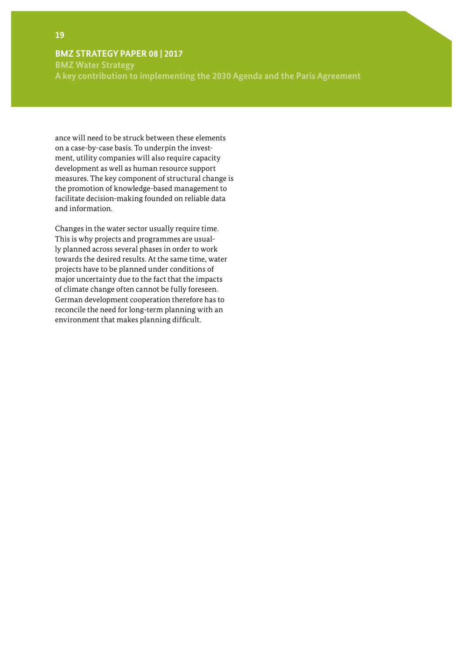**BMZ Water Strategy A key contribution to implementing the 2030 Agenda and the Paris Agreement** 

ance will need to be struck between these elements on a case-by-case basis. To underpin the investment, utility companies will also require capacity development as well as human resource support measures. The key component of structural change is the promotion of knowledge-based management to facilitate decision-making founded on reliable data and information.

Changes in the water sector usually require time. This is why projects and programmes are usually planned across several phases in order to work towards the desired results. At the same time, water projects have to be planned under conditions of major uncertainty due to the fact that the impacts of climate change often cannot be fully foreseen. German development cooperation therefore has to reconcile the need for long-term planning with an environment that makes planning difficult.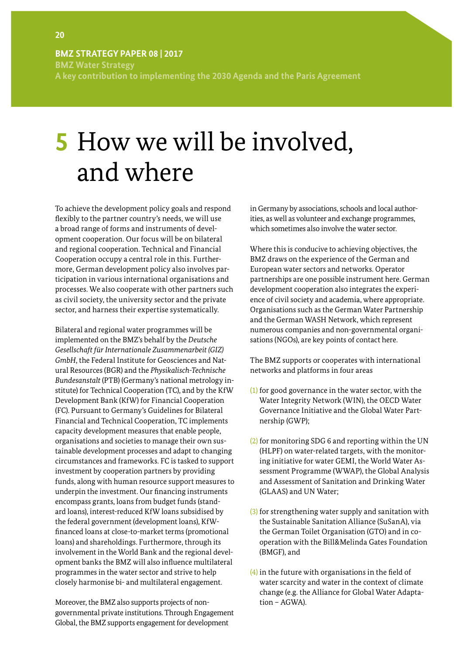<span id="page-21-0"></span>**BMZ Water Strategy A key contribution to implementing the 2030 Agenda and the Paris Agreement**

# **5** How we will be involved, and where

To achieve the development policy goals and respond flexibly to the partner country's needs, we will use a broad range of forms and instruments of development cooperation. Our focus will be on bilateral and regional cooperation. Technical and Financial Cooperation occupy a central role in this. Furthermore, German development policy also involves participation in various international organisations and processes. We also cooperate with other partners such as civil society, the university sector and the private sector, and harness their expertise systematically.

Bilateral and regional water programmes will be implemented on the BMZ's behalf by the *Deutsche Gesellschaft für Internationale Zusammenarbeit (GIZ) GmbH*, the Federal Institute for Geosciences and Natural Resources (BGR) and the *Physikalisch-Technische Bundesanstalt* (PTB) (Germany's national metrology institute) for Technical Cooperation (TC), and by the KfW Development Bank (KfW) for Financial Cooperation (FC). Pursuant to Germany's Guidelines for Bilateral Financial and Technical Cooperation, TC implements capacity development measures that enable people, organisations and societies to manage their own sustainable development processes and adapt to changing circumstances and frameworks. FC is tasked to support investment by cooperation partners by providing funds, along with human resource support measures to underpin the investment. Our financing instruments encompass grants, loans from budget funds (standard loans), interest-reduced KfW loans subsidised by the federal government (development loans), KfWfinanced loans at close-to-market terms (promotional loans) and shareholdings. Furthermore, through its involvement in the World Bank and the regional development banks the BMZ will also influence multilateral programmes in the water sector and strive to help closely harmonise bi- and multilateral engagement.

Moreover, the BMZ also supports projects of nongovernmental private institutions. Through Engagement Global, the BMZ supports engagement for development

in Germany by associations, schools and local authorities, as well as volunteer and exchange programmes, which sometimes also involve the water sector.

Where this is conducive to achieving objectives, the BMZ draws on the experience of the German and European water sectors and networks. Operator partnerships are one possible instrument here. German development cooperation also integrates the experience of civil society and academia, where appropriate. Organisations such as the German Water Partnership and the German WASH Network, which represent numerous companies and non-governmental organisations (NGOs), are key points of contact here.

The BMZ supports or cooperates with international networks and platforms in four areas

- (1) for good governance in the water sector, with the Water Integrity Network (WIN), the OECD Water Governance Initiative and the Global Water Partnership (GWP);
- (2) for monitoring SDG 6 and reporting within the UN (HLPF) on water-related targets, with the monitoring initiative for water GEMI, the World Water Assessment Programme (WWAP), the Global Analysis and Assessment of Sanitation and Drinking Water (GLAAS) and UN Water;
- (3) for strengthening water supply and sanitation with the Sustainable Sanitation Alliance (SuSanA), via the German Toilet Organisation (GTO) and in cooperation with the Bill&Melinda Gates Foundation (BMGF), and
- (4) in the future with organisations in the field of water scarcity and water in the context of climate change (e.g. the Alliance for Global Water Adaptation – AGWA).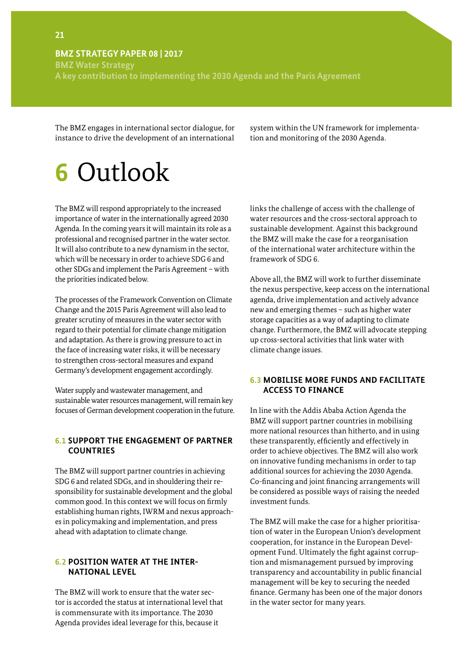<span id="page-22-0"></span>**BMZ Water Strategy A key contribution to implementing the 2030 Agenda and the Paris Agreement** 

The BMZ engages in international sector dialogue, for instance to drive the development of an international

system within the UN framework for implementation and monitoring of the 2030 Agenda.

# **6** Outlook

The BMZ will respond appropriately to the increased importance of water in the internationally agreed 2030 Agenda. In the coming years it will maintain its role as a professional and recognised partner in the water sector. It will also contribute to a new dynamism in the sector, which will be necessary in order to achieve SDG 6 and other SDGs and implement the Paris Agreement – with the priorities indicated below.

The processes of the Framework Convention on Climate Change and the 2015 Paris Agreement will also lead to greater scrutiny of measures in the water sector with regard to their potential for climate change mitigation and adaptation. As there is growing pressure to act in the face of increasing water risks, it will be necessary to strengthen cross-sectoral measures and expand Germany's development engagement accordingly.

Water supply and wastewater management, and sustainable water resources management, will remain key focuses of German development cooperation in the future.

#### **6.1 SUPPORT THE ENGAGEMENT OF PARTNER COUNTRIES**

The BMZ will support partner countries in achieving SDG 6 and related SDGs, and in shouldering their responsibility for sustainable development and the global common good. In this context we will focus on firmly establishing human rights, IWRM and nexus approaches in policymaking and implementation, and press ahead with adaptation to climate change.

#### **6.2 POSITION WATER AT THE INTER-NATIONAL LEVEL**

The BMZ will work to ensure that the water sector is accorded the status at international level that is commensurate with its importance. The 2030 Agenda provides ideal leverage for this, because it

links the challenge of access with the challenge of water resources and the cross-sectoral approach to sustainable development. Against this background the BMZ will make the case for a reorganisation of the international water architecture within the framework of SDG 6.

Above all, the BMZ will work to further disseminate the nexus perspective, keep access on the international agenda, drive implementation and actively advance new and emerging themes – such as higher water storage capacities as a way of adapting to climate change. Furthermore, the BMZ will advocate stepping up cross-sectoral activities that link water with climate change issues.

#### **6.3 MOBILISE MORE FUNDS AND FACILITATE ACCESS TO FINANCE**

In line with the Addis Ababa Action Agenda the BMZ will support partner countries in mobilising more national resources than hitherto, and in using these transparently, efficiently and effectively in order to achieve objectives. The BMZ will also work on innovative funding mechanisms in order to tap additional sources for achieving the 2030 Agenda. Co-financing and joint financing arrangements will be considered as possible ways of raising the needed investment funds.

The BMZ will make the case for a higher prioritisation of water in the European Union's development cooperation, for instance in the European Development Fund. Ultimately the fight against corruption and mismanagement pursued by improving transparency and accountability in public financial management will be key to securing the needed finance. Germany has been one of the major donors in the water sector for many years.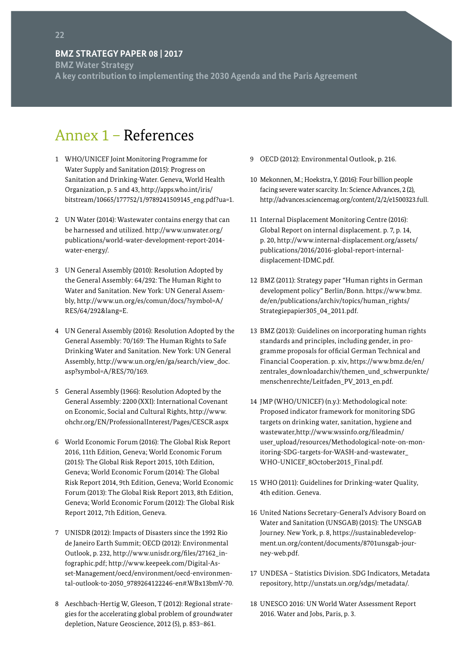<span id="page-23-0"></span>**BMZ Water Strategy A key contribution to implementing the 2030 Agenda and the Paris Agreement**

# Annex 1 – References

- 1 WHO/UNICEF Joint Monitoring Programme for Water Supply and Sanitation (2015): Progress on Sanitation and Drinking-Water. Geneva, World Health Organization, p. 5 and 43, http://apps.who.int/iris/ bitstream/10665/177752/1/9789241509145\_eng.pdf?ua=1.
- 2 UN Water (2014): Wastewater contains energy that can be harnessed and utilized. http://www.unwater.org/ publications/world-water-development-report-2014 water-energy/.
- 3 UN General Assembly (2010): Resolution Adopted by the General Assembly: 64/292: The Human Right to Water and Sanitation. New York: UN General Assembly, http://www.un.org/es/comun/docs/?symbol=A/ RES/64/292&lang=E.
- 4 UN General Assembly (2016): Resolution Adopted by the General Assembly: 70/169: The Human Rights to Safe Drinking Water and Sanitation. New York: UN General Assembly, http://www.un.org/en/ga/search/view\_doc. asp?symbol=A/RES/70/169.
- 5 General Assembly (1966): Resolution Adopted by the General Assembly: 2200 (XXI): International Covenant on Economic, Social and Cultural Rights, http://www. ohchr.org/EN/ProfessionalInterest/Pages/CESCR.aspx
- 6 World Economic Forum (2016): The Global Risk Report 2016, 11th Edition, Geneva; World Economic Forum (2015): The Global Risk Report 2015, 10th Edition, Geneva; World Economic Forum (2014): The Global Risk Report 2014, 9th Edition, Geneva; World Economic Forum (2013): The Global Risk Report 2013, 8th Edition, Geneva; World Economic Forum (2012): The Global Risk Report 2012, 7th Edition, Geneva.
- 7 UNISDR (2012): Impacts of Disasters since the 1992 Rio de Janeiro Earth Summit; OECD (2012): Environmental Outlook, p. 232, http://www.unisdr.org/files/27162\_infographic.pdf; http://www.keepeek.com/Digital-Asset-Management/oecd/environment/oecd-environmental-outlook-to-2050\_9789264122246-en#.WBx13bmV-70.
- 8 Aeschbach-Hertig W, Gleeson, T (2012): Regional strategies for the accelerating global problem of groundwater depletion, Nature Geoscience, 2012 (5), p. 853–861.
- 9 OECD (2012): Environmental Outlook, p. 216.
- 10 Mekonnen, M.; Hoekstra, Y. (2016): Four billion people facing severe water scarcity. In: Science Advances, 2 (2), http://advances.sciencemag.org/content/2/2/e1500323.full.
- 11 Internal Displacement Monitoring Centre (2016): Global Report on internal displacement. p. 7, p. 14, p. 20, http://www.internal-displacement.org/assets/ publications/2016/2016-global-report-internaldisplacement-IDMC.pdf.
- 12 BMZ (2011): Strategy paper "Human rights in German development policy" Berlin/Bonn. https://www.bmz. de/en/publications/archiv/topics/human\_rights/ Strategiepapier305\_04\_2011.pdf.
- 13 BMZ (2013): Guidelines on incorporating human rights standards and principles, including gender, in programme proposals for official German Technical and Financial Cooperation. p. xiv, https://www.bmz.de/en/ zentrales\_downloadarchiv/themen\_und\_schwerpunkte/ menschenrechte/Leitfaden\_PV\_2013\_en.pdf.
- 14 JMP (WHO/UNICEF) (n.y.): Methodological note: Proposed indicator framework for monitoring SDG targets on drinking water, sanitation, hygiene and wastewater,http://www.wssinfo.org/fileadmin/ user\_upload/resources/Methodological-note-on-monitoring-SDG-targets-for-WASH-and-wastewater\_ WHO-UNICEF\_8October2015\_Final.pdf.
- 15 WHO (2011): Guidelines for Drinking-water Quality, 4th edition. Geneva.
- 16 United Nations Secretary-General's Advisory Board on Water and Sanitation (UNSGAB) (2015): The UNSGAB Journey. New York, p. 8, https://sustainabledevelopment.un.org/content/documents/8701unsgab-journey-web.pdf.
- 17 UNDESA Statistics Division. SDG Indicators, Metadata repository, http://unstats.un.org/sdgs/metadata/.
- 18 UNESCO 2016: UN World Water Assessment Report 2016. Water and Jobs, Paris, p. 3.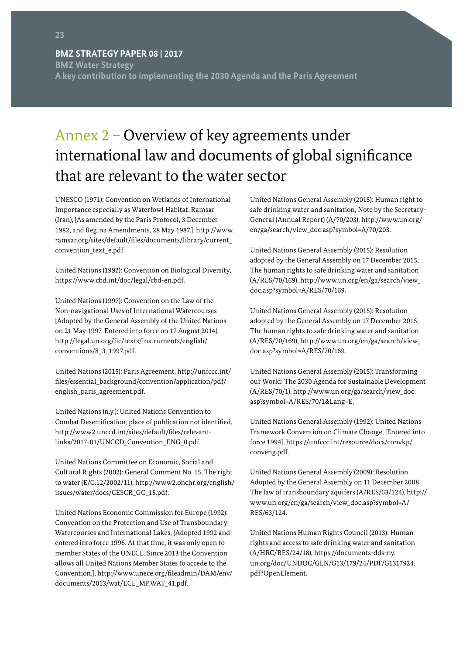<span id="page-24-0"></span>**BMZ Water Strategy A key contribution to implementing the 2030 Agenda and the Paris Agreement** 

# Annex 2 – Overview of key agreements under international law and documents of global significance that are relevant to the water sector

UNESCO (1971): Convention on Wetlands of International Importance especially as Waterfowl Habitat. Ramsar (Iran), [As amended by the Paris Protocol, 3 December 1982, and Regina Amendments, 28 May 1987.], http://www. ramsar.org/sites/default/files/documents/library/current\_ convention\_text\_e.pdf.

United Nations (1992): Convention on Biological Diversity, https://www.cbd.int/doc/legal/cbd-en.pdf.

United Nations (1997): Convention on the Law of the Non-navigational Uses of International Watercourses [Adopted by the General Assembly of the United Nations on 21 May 1997. Entered into force on 17 August 2014], http://legal.un.org/ilc/texts/instruments/english/ conventions/8\_3\_1997.pdf.

United Nations (2015): Paris Agreement, http://unfccc.int/ files/essential\_background/convention/application/pdf/ english\_paris\_agreement.pdf.

United Nations (n.y.): United Nations Convention to Combat Desertification, place of publication not identified, http://www2.unccd.int/sites/default/files/relevantlinks/2017-01/UNCCD\_Convention\_ENG\_0.pdf.

United Nations Committee on Economic, Social and Cultural Rights (2002): General Comment No. 15, The right to water (E/C.12/2002/11), http://www2.ohchr.org/english/ issues/water/docs/CESCR\_GC\_15.pdf.

United Nations Economic Commission for Europe (1992): Convention on the Protection and Use of Transboundary Watercourses and International Lakes, [Adopted 1992 and entered into force 1996. At that time, it was only open to member States of the UNECE. Since 2013 the Convention allows all United Nations Member States to accede to the Convention.], http://www.unece.org/fileadmin/DAM/env/ documents/2013/wat/ECE\_MP.WAT\_41.pdf.

United Nations General Assembly (2015): Human right to safe drinking water and sanitation, Note by the Secretary-General (Annual Report) (A/70/203), http://www.un.org/ en/ga/search/view\_doc.asp?symbol=A/70/203.

United Nations General Assembly (2015): Resolution adopted by the General Assembly on 17 December 2015, The human rights to safe drinking water and sanitation (A/RES/70/169), http://www.un.org/en/ga/search/view\_ doc.asp?symbol=A/RES/70/169.

United Nations General Assembly (2015): Resolution adopted by the General Assembly on 17 December 2015, The human rights to safe drinking water and sanitation (A/RES/70/169), [http://www.un.org/en/ga/search/view\\_](http://www.un.org/en/ga/search/view_doc.asp?symbol=A/RES/70/169) [doc.asp?symbol=A/RES/70/169](http://www.un.org/en/ga/search/view_doc.asp?symbol=A/RES/70/169).

United Nations General Assembly (2015): Transforming our World: The 2030 Agenda for Sustainable Development (A/RES/70/1), http://www.un.org/ga/search/view\_doc. asp?symbol=A/RES/70/1&Lang=E.

United Nations General Assembly (1992): United Nations Framework Convention on Climate Change, [Entered into force 1994], https://unfccc.int/resource/docs/convkp/ conveng.pdf.

United Nations General Assembly (2009): Resolution Adopted by the General Assembly on 11 December 2008, The law of transboundary aquifers (A/RES/63/124), http:// www.un.org/en/ga/search/view\_doc.asp?symbol=A/ RES/63/124.

United Nations Human Rights Council (2013): Human rights and access to safe drinking water and sanitation (A/HRC/RES/24/18), https://documents-dds-ny. un.org/doc/UNDOC/GEN/G13/179/24/PDF/G1317924. pdf?OpenElement.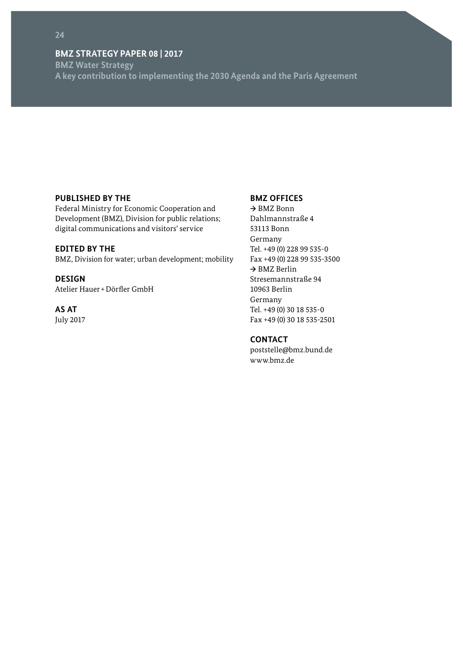**BMZ Water Strategy A key contribution to implementing the 2030 Agenda and the Paris Agreement**

#### **PUBLISHED BY THE**

Federal Ministry for Economic Cooperation and Development (BMZ), Division for public relations; digital communications and visitors' service

#### **EDITED BY THE**

BMZ, Division for water; urban development; mobility

#### **DESIGN**

Atelier Hauer+Dörfler GmbH

### **AS AT**

July 2017

#### **BMZ OFFICES**

**→** BMZ Bonn Dahlmannstraße 4 53113 Bonn Germany Tel. +49 (0) 228 99 535-0 Fax +49 (0) 228 99 535-3500 **→** BMZ Berlin Stresemannstraße 94 10963 Berlin Germany Tel. +49 (0) 30 18 535-0 Fax +49 (0) 30 18 535-2501

#### **CONTACT**

[poststelle@bmz.bund.de](mailto:poststelle%40bmz.bund.de?subject=) [www.bmz.de](http://www.bmz.de)